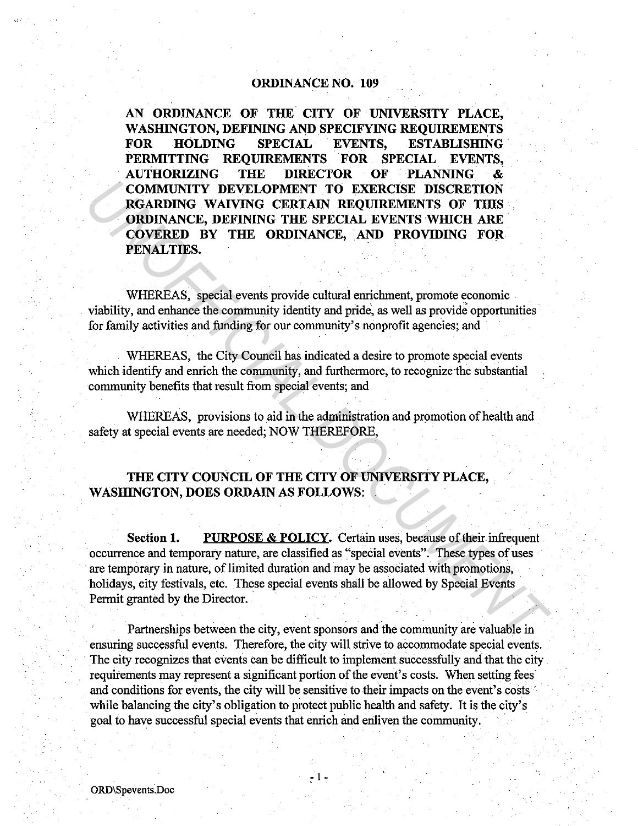## **ORDINANCE NO. 109**

**AN ORDINANCE OF THE CITY OF UNIVERSITY PLACE,** . **WASHINGTON, DEFINING AND SPECIFYING REQUIREMENTS FOR HOLDING SPECIAL EVENTS, ESTABLISHING PERMITTING REQUIREMENTS FOR SPECIAL EVENTS, AUTHORIZING THE DIRECTOR OF PLANNING** & **COMMUNITY DEVELOPMENT TO EXERCISE DISCRETION RGARDING WAIVING CERTAIN REQUIREMENTS OF THIS ORDINANCE, DEFINING THE SPECIAL EVENTS WHICH ARE COVERED BY THE ORDINANCE, AND PROVIDING FOR PENALTIES.** 

WHEREAS, special events provide cultural enrichment, promote economic viability, and enhance the community identity and pride, as well as provide opportunities for family activities and funding for our community's nonprofit agencies; and

WHEREAS, the City Council has indicated a desire to promote special events which identify and enrich the community, and furthermore, to recognize the substantial community benefits that result from special events; and

WHEREAS, provisions to aid in the administration and promotion of health and safety at special events are needed; NOW THEREFORE,

# **THE CITY COUNCIL OF THE CITY OF UNIVERSITY PLACE, WASHINGTON, DOES ORDAIN AS FOLLOWS:**

**Section 1.** PURPOSE & POLICY. Certain uses, because of their infrequent occurrence and temporary nature, are classified as "special events". These types of uses are temporary in nature, of limited duration and may be associated with promotions, holidays, city festivals, etc. These special events shall be allowed by Special Events Permit granted by the Director. **COMMUNITY DEVELOPMENT TO EXERCISE DISCRETION REGARDING WAIVING CRETAIN REQUIREMENTS OF THIS ORDINANCE, DEFINING THE SPECIAL EVENTS WHICH ARE COVERED BY THE ORDINANCE, AND PROVIDING FOR PENALTIES.<br>
WHEREAS, special events** 

Partnerships between the city, event sponsors and the community are valuable in ensuring successful events. Therefore, the city will strive to accommodate special events. The city recognizes that events can be difficult to implement successfully and that the city requirements may represent a significant portion of the event's costs. When setting fees and conditions for events, the city will be sensitive to their impacts on the event's costs while balancing the city's obligation to protect public health and safety. It is the city's goal to have successful special events that enrich and enliven the community.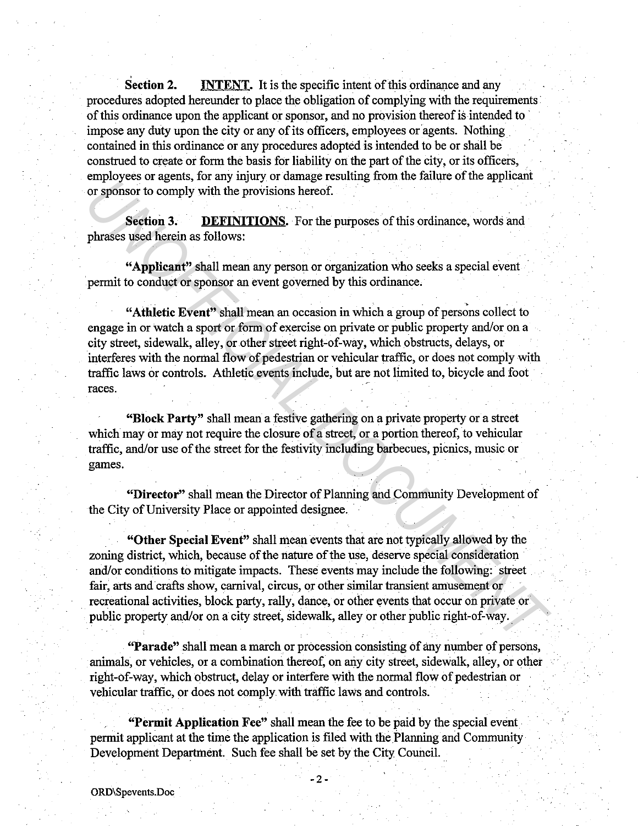**Section 2. INTENT.** It is the specific intent of this ordinance and any procedures adopted hereunder to place the obligation of complying with the requirements· of this ordinance upon the applicant or sponsor, and no provision thereof is intended to impose any duty upon the city or any of its officers, employees or agents. Nothing contained in this ordinance or any procedures adopted is intended to be or shall be construed to create or form the basis for liability on the part of the city, or its officers, employees or agents, for any injury or damage resulting from the failure of the applicant or sponsor to comply with the provisions hereof.

**Section 3. DEFINITIONS.** For the purposes of this ordinance, words and phrases used herein as follows:

**"Applicant"** shall mean any person or organization who seeks a special event permit to conduct or sponsor an event governed by this ordinance.

**"Athletic Event"** shall mean an occasion in which a group of persons collect to engage in or watch a sport or form of exercise on private or public property and/or on a city street, sidewalk, alley, or other street right-of-way, which obstructs, delays, or interferes with the normal flow of pedestrian or vehicular traffic, or does not comply with traffic laws or controls. Athletic events include, but are not limited to, bicycle and foot races. ary over several, to any inquire on experimentation and the summation of sponsor to comply with the provisions hereof.<br> **Section 3.** DEFINITIONS. For the purposes of this ordinance, words and<br>
phrases used herein as follow

**"Block Party"** shall mean a festive gathering on a private property or a street which may or may not require the closure of a street, or a portion thereof, to vehicular traffic, and/or use of the street for the festivity including barbecues, picnics, music or games.

**"Director"** shall mean the Director of Planning and Community Development of the City of University Place or appointed designee.

**"Other Special Event"** shall mean events that are not typically allowed by the zoning district, which, because of the nature of the use, deserve special consideration and/or conditions to mitigate impacts. These events may include the following: street fair, arts and crafts show, carnival, circus, or other similar transient amusement or recreational activities, block party, rally, dance, or other events that occur on private or public property and/or on a city street, sidewalk, alley or other public right-of-way.

**"Parade"** shall mean a march or procession consisting of any number of persons, animals, or vehicles, or a combination thereof, on any city street, sidewalk, alley, or other right-of-way, which obstruct, delay or interfere with the normal flow of pedestrian or vehicular traffic, or does not comply with traffic laws and controls.

**"Permit Application** Fee" shall mean the fee to be paid by the special event . permit applicant at the time the application is filed with the Planning and Community Development Department. Such fee shall be set by the City Council.

 $\sigma$ .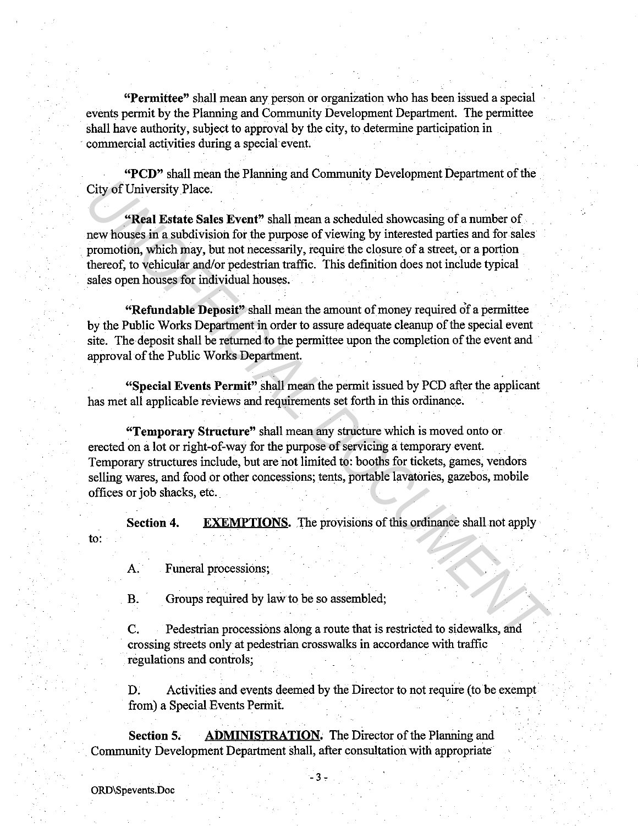**"Permittee"** shall mean any person or organization who has been issued a special events permit by the Planning and Community Development Department. The permittee shall have authority, subject to approval by the city, to determine participation in commercial activities during a special event.

**"PCD"** shall mean the Planning and Community Development Department of the City of University Place.

**"Real Estate Sales Event"** shall mean a scheduled showcasing of a number of new houses in a subdivision for the purpose of viewing by interested parties and for sales promotion, which may, but not necessarily, require the closure of a street, or a portion thereof, to vehicular and/or pedestrian traffic. This definition does not include typical sales open houses for individual houses. City of University Place.<br> **Comparison and Solution** Circle Text and Solution for the purpose of viewing by interested particles and for sale<br> **Exerceptivally** in a subdivision for the purpose of viewing by interested part

**"Refundable Deposit"** shall mean the amount of money required of a permittee by the Public Works Department in order to assure adequate cleanup of the special event site. The deposit shall be returned to the permittee upon the completion of the event and approval of the Public Works Department.

**"Special Events Permit".** shall mean the permit issued by PCD after the applicant has met all applicable reviews and requirements set forth in this ordinance.

**"Temporary Structure"** shall mean any structure which is moved onto or erected on a lot or right-of-way for the purpose of servicing a temporary event. Temporary structures include, but are not limited to: booths for tickets, games, vendors selling wares, and food or other concessions; tents, portable lavatories, gazebos, mobile offices or job shacks, etc.

**Section 4. EXEMPTIONS.** The provisions of this ordinance shall not apply

A. Funeral processions;

B. Groups required by law to be so assembled;

C. Pedestrian processions along a route that is restricted to sidewalks, and crossing streets only at pedestrian crosswalks in accordance with traffic regulations and controls;

D. Activities and events deemed by the Director to not require (to be exempt from) a Special Events Permit.

**Section 5. ADMINISTRATION.** The Director of the Planning and Community Development Department shall, after consultation with appropriate

to: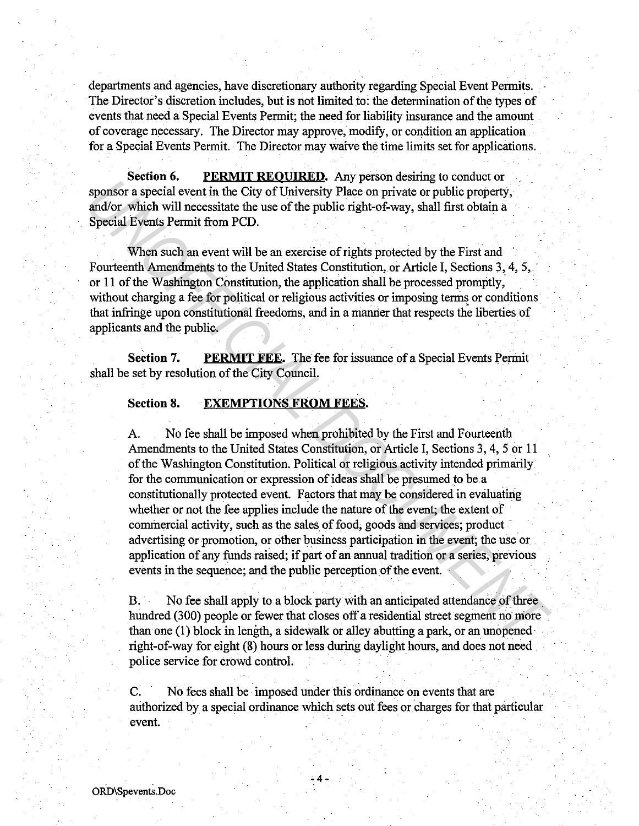departments and agencies, have discretionary authority regarding Special Event Permits. The Director's discretion includes, but is not limited to: the determination of the types of events that need a Special Events Permit; the need for liability insurance and the amount of coverage necessary. The Director may approve, modify, or condition an application for a Special Events Permit. The Director may waive the time limits set for applications.

**Section 6.** PERMIT REQUIRED. Any person desiring to conduct or sponsor a special event in the City of University Place on private or public property, and/or which will necessitate the use of the public right-of-way, shall first obtain a Special Events Permit from PCD.

When such an event will be an exercise of rights protected by the First and Fourteenth Amendments to the United States Constitution, or Article I, Sections 3, 4, 5, · or 11 of the Washington Constitution, the application shall be processed promptly; without charging a fee for political or religious activities or imposing terms or conditions that infringe upon constitutional freedoms, and in a manner that respects the liberties of applicants and the public.

**Section 7.** PERMIT FEE. The fee for issuance of a Special Events Permit shall be set by resolution of the City Council.

## **Section 8. EXEMPTIONS FROM FEES.**

A. No fee shall be imposed when prohibited by the First and Fourteenth Amendments to the United States Constitution, or Article I, Sections 3, 4, 5 or 11 of the Washington Constitution. Political or religious activity intended primarily for the communication or expression of ideas shall be presumed to be a constitutionally protected event. Factors that may be considered in evaluating whether or not the fee applies include the nature of the event; the extent of commercial activity, such as the sales of food, goods and services; product advertising or promotion, or other business participation in the event; the use or application of any funds raised; if part of an annual tradition or a series, previous events in the sequence; and the public perception of the event. **Example 2.1** *University the City of University Place* **on private or public property,<br>
and/or which will necessite the use of the public right-of-way, shall first obtain a<br>
Special Events Permit from PCD.<br>
When such an e** 

B. No fee shall apply to a block party with an anticipated attendance of three hundred (300) people or fewer that closes off a residential street segment no more than one (1) block in length, a sidewalk or alley abutting a park, or an unopened· right-of-way for eight (8) hours or less during daylight hours, and does not need police service for crowd control.

C. No fees shall be imposed under this ordinance on events that are authorized by a special ordinance which sets out fees or charges for that particular event.

 $-4-$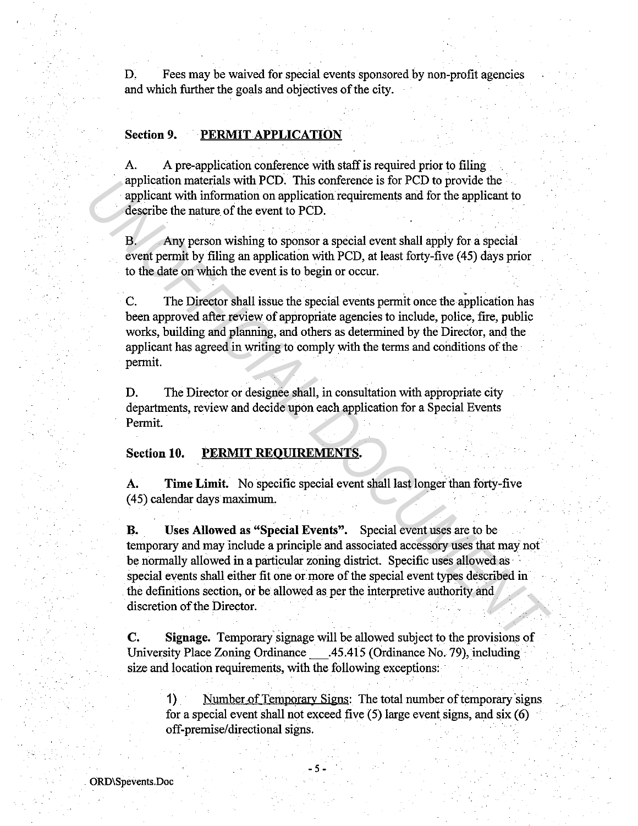D. Fees may be waived for special events sponsored by non-profit agencies and which further the goals and objectives of the city.

# Section 9. PERMIT APPLICATION

A. A pre-application conference with staff is required prior to filing application materials with PCD. This conference is for PCD to provide the applicant with information on application requirements and for the applicant to describe the nature of the event to PCD.

B. Any person wishing to sponsor a special event shall apply for a special event permit by filing an application with PCD, at least forty-five (45) days prior to the date on which the event is to begin or occur.

C. The Director shall issue the special events permit once the application has been approved after review of appropriate agencies to include, police, fire, public works, building and planning, and others as determined by the Director, and the applicant has agreed in writing to comply with the terms and conditions of the permit.

D. The Director or designee shall, in consultation with appropriate city departments, review and decide upon each application for a Special Events Permit.

## Section 10. PERMIT REQUIREMENTS.

A. Time Limit. No specific special event shall last longer than forty-five (45) calendar days maximum.

B. Uses Allowed as "Special Events". Special event uses are to be temporary and may include a principle and associated accessory uses that may not be normally allowed in a particular zoning district. Specific uses allowed as special events shall either fit one or more of the special event types described in the definitions section, or be allowed as per the interpretive authority and discretion of the Director. application materials with PCU. Intersection experiments of PCU to provide the<br>applicant with information on application requirements and for the applicant to<br>describe the nature of the event to PCD.<br>B. Any person wishing

C. Signage. Temporary signage will be allowed subject to the provisions of University Place Zoning Ordinance \_.45.415 (Ordinance No. 79), including size and location requirements, with the following exceptions:

- 5 -

1) Number of Temporary Signs: The total number of temporary signs for a special event shall not exceed five (5) large event signs, and six (6) off-premise/directional signs.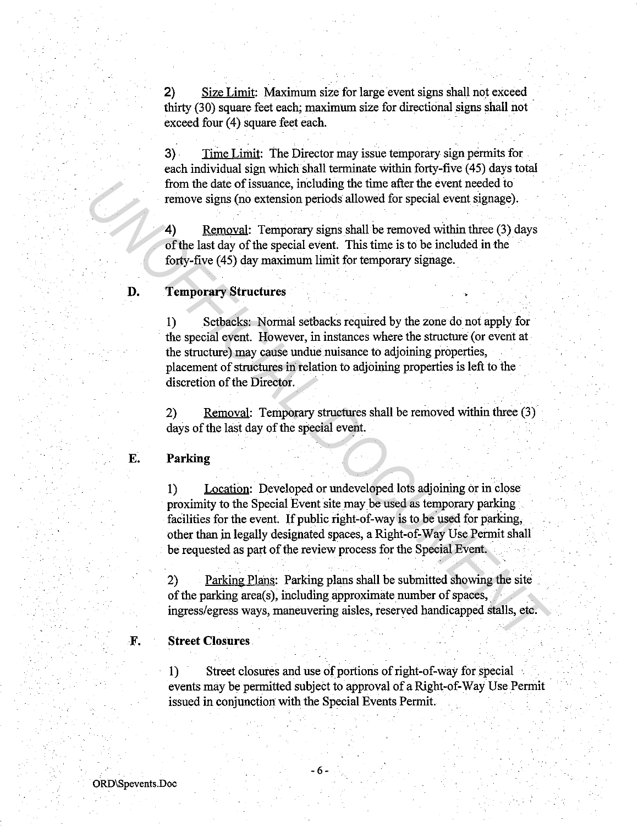2) Size Limit: Maximum size for large event signs shall not exceed thirty (30) square feet each; maximum size for directional signs shall not exceed four (4) square feet each.

3) Time Limit: The Director may issue temporary sign permits for each individual sign which shall terminate within forty-five ( 45) days total from the date of issuance, including the time after the event needed to remove signs (no extension periods allowed for special event signage).

**4)** Removal: Temporary signs shall be removed Within three (3) days of the last day of the special event. This time is to be included in the forty-five (45) day maximum limit for temporary signage.

#### **D. Temporary Structures**

1) Setbacks: Normal setbacks required by the zone do not apply for the special event. However, in instances where the structure (or event at the structure) may cause undue nuisance to adjoining properties, placement of structures in relation to adjoining properties is left to the discretion of the Director. From the date of issuance, including the time after the event needed to<br> **Example 19. Removed in the state of the state of the state of the state of the state of the special event. This time is to be included in the<br>
<b>UN** 

2) Removal: Temporary structures shall be removed within three (3) days of the last day of the special event.

#### **E. Parking**

**1)** Location: Developed or undeveloped lots adjoining or in close proximity to the Special Event site may be used as temporary parking facilities for the event. If public right-of-way is to be used for parking, other than in legally designated spaces, a Right-of-Way Use Permit shall be requested as part of the review process for the Special Event.

2) Parking Plans: Parking plans shall be submitted showing the site of the parking area(s), including approximate number of spaces, ingress/egress ways, maneuvering aisles, reserved handicapped stalls, etc.

# **F. Street Closures**

1) Street closures and use of portions of right-of-way for special events may be permitted subject to approval of a Right-of-Way Use Permit issued in conjunction with the Special Events Permit.

- 6 -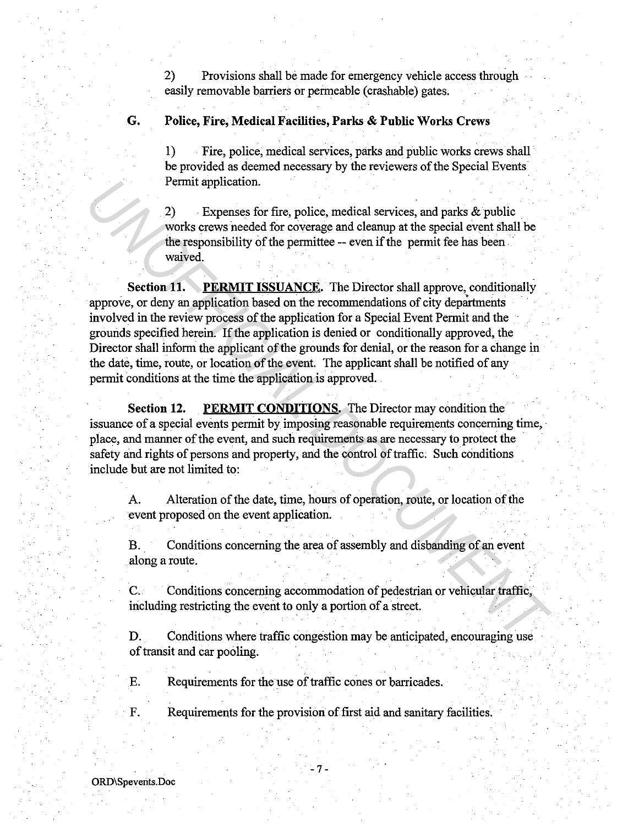2) Provisions shall be made for emergency vehicle access through easily removable barriers or permeable ( crashable) gates.

# **G. Police, Fire, Medical Facilities, Parks & Public Works Crews**

1) Fire, police, medical services, parks and public works crews shall be provided as deemed necessary by the reviewers of the Special Events-Permit application.

2) Expenses for fire, police, medical services, and parks  $\&$  public works crews needed for coverage and cleanup at the special event shall be the responsibility of the permittee -- even if the permit fee has been waived.

**Section 11.** PERMIT ISSUANCE. The Director shall approve, conditionally approve, or deny an application based on the recommendations of city departments involved in the review process of the application for a Special Event Permit and the grounds specified herein. If the application is denied or conditionally approved, the Director shall inform the applicant of the grounds for denial, or the reason for a change in the date, time, route, or location of the event. The applicant shall be notified of any permit conditions at the time the application is approved. Permit application.<br>
<sup>2</sup> Expenses for fire, police, medical services, and parks & public<br>
<sup>22</sup> Universist means the special event age of corresponding the special event shall be<br>
the responsibility of the permittee -- even

**Section 12. PERMIT CONDITIONS.** The Director may condition the issuance of a special events permit by imposing reasonable requirements concerning time, place, and manner of the event, and such requirements as are necessary to protect the safety and rights of persons and property, and the control of traffic. Such conditions include but are not limited to:

A. Alteration of the date, time, hours of operation, route, or location of the event proposed on the event application.

B. Conditions concerning the area of assembly and disbanding of an event along a route.

C. Conditions concerning accommodation of pedestrian or vehicular traffic, including restricting the event to only a portion of a street.

D. Conditions where traffic congestion may be anticipated, encouraging use of transit and car pooling.

E. Requirements for the use of traffic cones or barricades.

F. Requirements for the provision of first aid and sanitary facilities.

-7-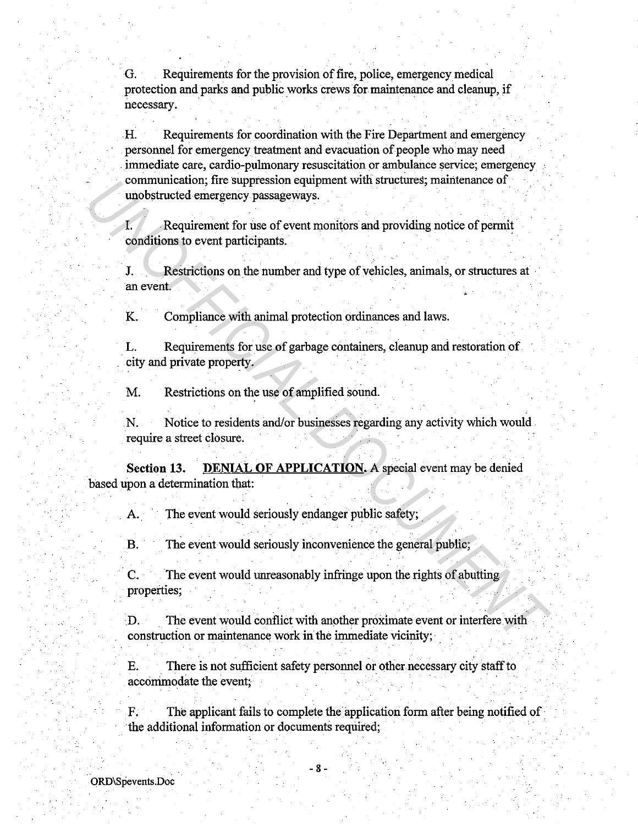G. Requirements for the provision of fire, police, emergency medical protection and parks and public works crews for maintenance and cleanup, if necessary.

H. Requirements for coordination with the Fire Department and emergency personnel for emergency treatment and evacuation of people who may need . immediate care, cardio-pulmonary resuscitation or ambulance service; emergency communication; fire suppression equipment with structures; maintenance of unobstructed emergency passageways.

I. Requirement for use of event monitors and providing notice of permit conditions to event participants.

J. Restrictions on the number and type of vehicles, animals, or structures at an event.

K. Compliance with animal protection ordinances and laws.

L. Requirements for use of garbage containers, cleanup and restoration of city and private property.

M. Restrictions on the use of amplified sound.

N. Notice to residents and/or businesses regarding any activity which would require a street closure.

**Section 13. DENIAL OF APPLICATION.** A special event may be denied based upon a determination that: communication; ite suppression equipment with strictures; maintenance or<br>
1. Requirement for use of event monitors and providing notice of permit<br>
conditions to event participants.<br>
J. Restrictions on the number and type o

A. The event would seriously endanger public safety;

B. The event would seriously inconvenience the general public;

C. The event would unreasonably infringe upon the rights of abutting properties;

.D. . The event would conflict with another proximate event or interfere with construction or maintenance work in the immediate vicinity;

E. There is not sufficient safety personnel or other necessary city staff to accommodate the event:

F. The applicant fails to complete the application form after being notified of the additional information or documents required;

- 8 -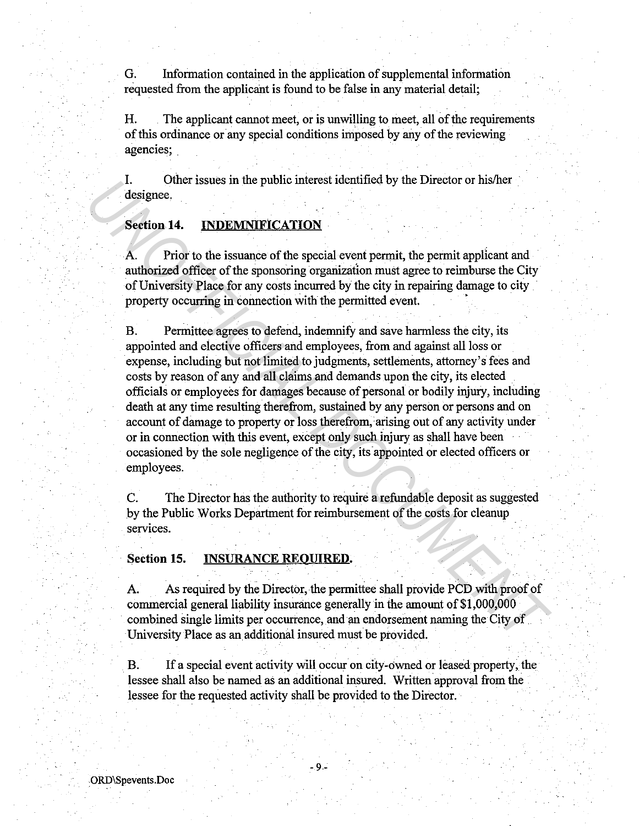G. Information contained in the application of supplemental information requested from the applicant is found to be false in any material detail;

H. The applicant cannot meet, or is unwilling to meet, all of the requirements of this ordinance or any special conditions imposed by any of the reviewing agencies;

I. Other issues in the public interest identified by the Director or his/her designee.

# Section 14. INDEMNIFICATION

A. Prior to the issuance of the special event permit, the permit applicant and authorized officer of the sponsoring organization must agree to reimburse the City of University Place for any costs incurred by the city in repairing damage to city property occurring in connection with the permitted event. •

B. Permittee agrees to defend, indemnify and save harmless the city, its appointed and elective officers and employees, from and against all loss or expense, including but not limited to judgments, settlements, attorney's fees and costs by reason of any and all claims and demands upon the city, its elected officials or employees for damages because of personal or bodily injury, including death at any time resulting therefrom, sustained by any person or persons and on account of damage to property or loss therefrom, arising out of any activity under or in connection with this event, except only such injury as shall have been occasioned by the sole negligence of the city, its appointed or elected officers or employees. **Lateration 2**<br> **Lateration** 14. **EXECTS** In the public interest identified by the Director or his/net<br> **Section 14. EXECTS INTET CATION**<br> **EXECTS ATTES ATTES ATTES ATTES ATTES ATTES and additional of the promotion of th** 

C. The Director has the authority to require a refundable deposit as suggested by the Public Works Department for reimbursement of the costs for cleanup services.

## Section 15. INSURANCE REOUIRED.

A. As required by the Director, the permittee shall provide PCD with proof of commercial general liability insurance generally in the amount of \$1,000,000 combined single limits per occurrence, and an endorsement naming the City of ·University Place as an additional insured must be provided.

B. If a special event activity will occur on city-owned or leased property, the lessee shall also be named as an additional insured. Written approval from the lessee for the requested activity shall be provided to the Director.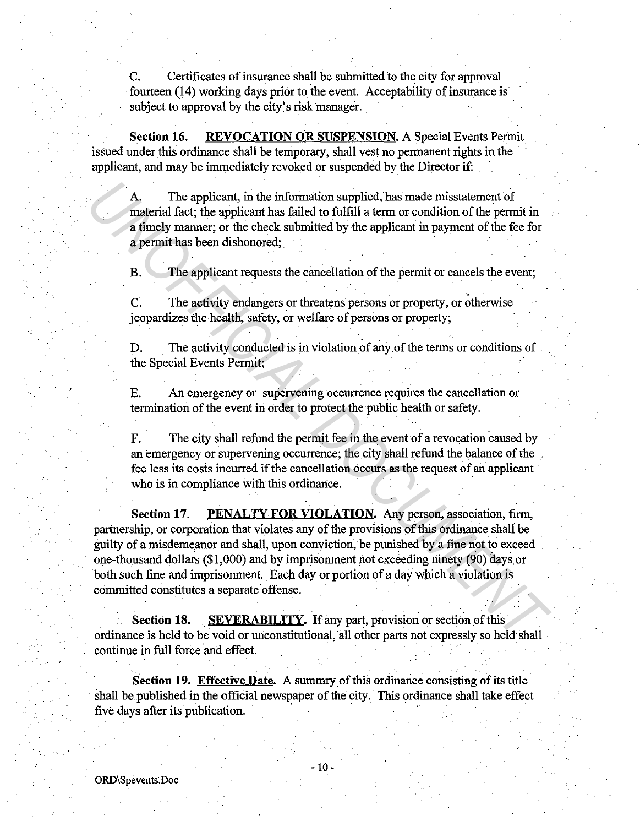C. Certificates of insurance shall be submitted to the city for approval fourteen (14) working days prior to the event. Acceptability of insurance is subject to approval by the city's risk manager.

**Section 16. REVOCATION OR SUSPENSION.** A Special Events Permit issued under this ordinance shall be temporary, shall vest no permanent rights in the applicant, and may be immediately revoked or suspended by the Director if:

A. The applicant, in the information supplied, has made misstatement of material fact; the applicant has failed to fulfill a term or condition of the permit in a timely manner; or the check submitted by the applicant in payment of the fee for a permit has been dishonored;

B. The applicant requests the cancellation of the permit or cancels the event;

C. The activity endangers or threatens persons or property, or otherwise jeopardizes the health, safety, or welfare of persons or property;

D. The activity conducted is in violation of any of the terms or conditions of the Special Events Permit;

E. An emergency or supervening occurrence requires the cancellation or termination of the event in order to protect the public health or safety.

F. The city shall refund the permit fee in the event of a revocation caused by an emergency or supervening occurrence; the city shall refund the balance of the fee less its costs incurred if the cancellation occurs as the request of an applicant who is in compliance with this ordinance.

**Section 17. PENALTY FOR VIOLATION.** Any person, association, firm, partnership, or corporation that violates any of the provisions of this ordinance shall be guilty of a misdemeanor and shall, upon conviction, be punished by a fine not to exceed one-thousand dollars (\$1,000) and by imprisonment not exceeding ninety (90) days or both such fine and imprisonment. Each day or portion of a day which a violation is committed constitutes a separate offense. A<sub>3</sub>. The applicant, in the information supplied, has made misstatement of<br>material fact; the applicant has failed to fulfill a term or condition of the permit in<br>a timely manner, or the check submitted by the applicant in

**Section 18.** SEVERABILITY. If any part, provision or section of this ordinance is held to be void or unconstitutional, all other parts not expressly so held shall continue in full force and effect.

**Section 19. Effective Date.** A summry of this ordinance consisting of its title shall be published in the official newspaper of the city. This ordinance shall take effect five days after its publication.